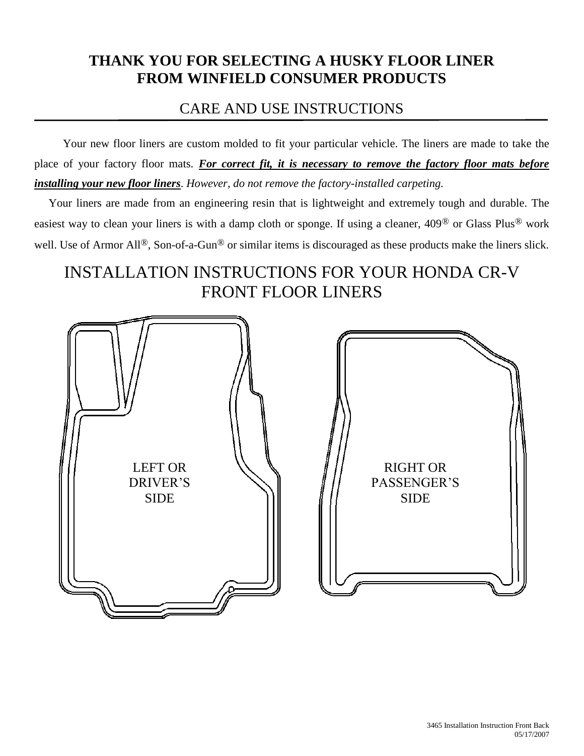## **THANK YOU FOR SELECTING A HUSKY FLOOR LINER FROM WINFIELD CONSUMER PRODUCTS**

## CARE AND USE INSTRUCTIONS

 Your new floor liners are custom molded to fit your particular vehicle. The liners are made to take the place of your factory floor mats. *For correct fit, it is necessary to remove the factory floor mats before installing your new floor liners*. *However, do not remove the factory-installed carpeting.*

 Your liners are made from an engineering resin that is lightweight and extremely tough and durable. The easiest way to clean your liners is with a damp cloth or sponge. If using a cleaner, 409® or Glass Plus® work well. Use of Armor All<sup>®</sup>, Son-of-a-Gun<sup>®</sup> or similar items is discouraged as these products make the liners slick.

# INSTALLATION INSTRUCTIONS FOR YOUR HONDA CR-V FRONT FLOOR LINERS